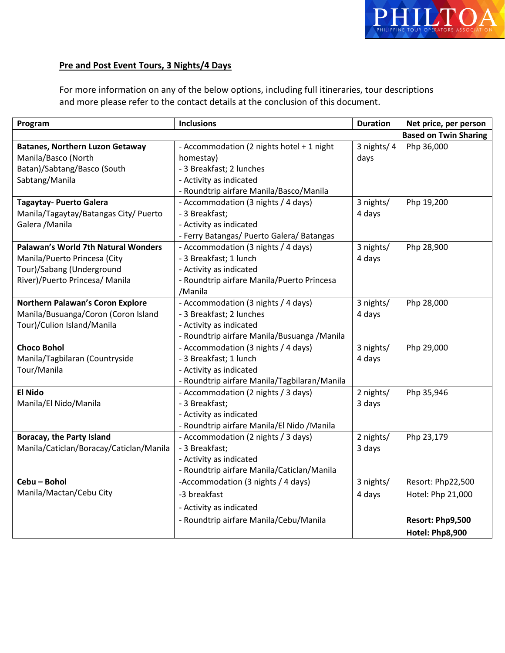

# **Pre and Post Event Tours, 3 Nights/4 Days**

For more information on any of the below options, including full itineraries, tour descriptions and more please refer to the contact details at the conclusion of this document.

| Program                                    | <b>Inclusions</b>                            | <b>Duration</b> | Net price, per person        |
|--------------------------------------------|----------------------------------------------|-----------------|------------------------------|
|                                            |                                              |                 | <b>Based on Twin Sharing</b> |
| <b>Batanes, Northern Luzon Getaway</b>     | - Accommodation (2 nights hotel + 1 night    | 3 nights/4      | Php 36,000                   |
| Manila/Basco (North                        | homestay)                                    | days            |                              |
| Batan)/Sabtang/Basco (South                | - 3 Breakfast; 2 lunches                     |                 |                              |
| Sabtang/Manila                             | - Activity as indicated                      |                 |                              |
|                                            | - Roundtrip airfare Manila/Basco/Manila      |                 |                              |
| <b>Tagaytay- Puerto Galera</b>             | - Accommodation (3 nights / 4 days)          | 3 nights/       | Php 19,200                   |
| Manila/Tagaytay/Batangas City/ Puerto      | - 3 Breakfast;                               | 4 days          |                              |
| Galera / Manila                            | - Activity as indicated                      |                 |                              |
|                                            | - Ferry Batangas/ Puerto Galera/ Batangas    |                 |                              |
| <b>Palawan's World 7th Natural Wonders</b> | - Accommodation (3 nights / 4 days)          | 3 nights/       | Php 28,900                   |
| Manila/Puerto Princesa (City               | - 3 Breakfast; 1 lunch                       | 4 days          |                              |
| Tour)/Sabang (Underground                  | - Activity as indicated                      |                 |                              |
| River)/Puerto Princesa/ Manila             | - Roundtrip airfare Manila/Puerto Princesa   |                 |                              |
|                                            | /Manila                                      |                 |                              |
| <b>Northern Palawan's Coron Explore</b>    | - Accommodation (3 nights / 4 days)          | 3 nights/       | Php 28,000                   |
| Manila/Busuanga/Coron (Coron Island        | - 3 Breakfast; 2 lunches                     | 4 days          |                              |
| Tour)/Culion Island/Manila                 | - Activity as indicated                      |                 |                              |
|                                            | - Roundtrip airfare Manila/Busuanga / Manila |                 |                              |
| <b>Choco Bohol</b>                         | - Accommodation (3 nights / 4 days)          | 3 nights/       | Php 29,000                   |
| Manila/Tagbilaran (Countryside             | - 3 Breakfast; 1 lunch                       | 4 days          |                              |
| Tour/Manila                                | - Activity as indicated                      |                 |                              |
|                                            | - Roundtrip airfare Manila/Tagbilaran/Manila |                 |                              |
| <b>El Nido</b>                             | - Accommodation (2 nights / 3 days)          | 2 nights/       | Php 35,946                   |
| Manila/El Nido/Manila                      | - 3 Breakfast;                               | 3 days          |                              |
|                                            | - Activity as indicated                      |                 |                              |
|                                            | - Roundtrip airfare Manila/El Nido / Manila  |                 |                              |
| <b>Boracay, the Party Island</b>           | - Accommodation (2 nights / 3 days)          | 2 nights/       | Php 23,179                   |
| Manila/Caticlan/Boracay/Caticlan/Manila    | - 3 Breakfast;                               | 3 days          |                              |
|                                            | - Activity as indicated                      |                 |                              |
|                                            | - Roundtrip airfare Manila/Caticlan/Manila   |                 |                              |
| Cebu - Bohol                               | -Accommodation (3 nights / 4 days)           | 3 nights/       | Resort: Php22,500            |
| Manila/Mactan/Cebu City                    | -3 breakfast                                 | 4 days          | Hotel: Php 21,000            |
|                                            | - Activity as indicated                      |                 |                              |
|                                            | - Roundtrip airfare Manila/Cebu/Manila       |                 | Resort: Php9,500             |
|                                            |                                              |                 | Hotel: Php8,900              |